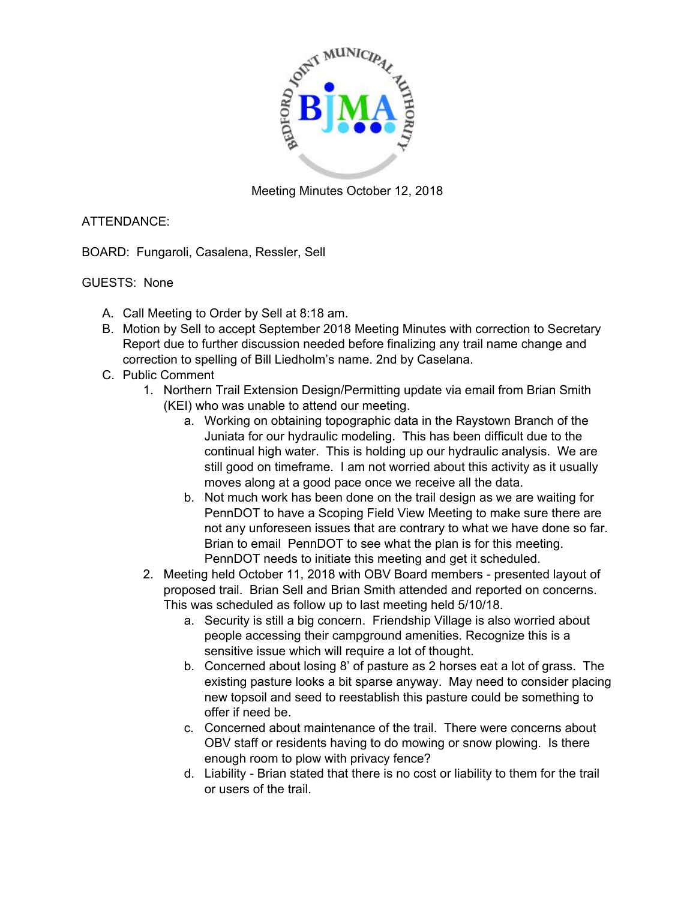

Meeting Minutes October 12, 2018

## ATTENDANCE:

BOARD: Fungaroli, Casalena, Ressler, Sell

## GUESTS: None

- A. Call Meeting to Order by Sell at 8:18 am.
- B. Motion by Sell to accept September 2018 Meeting Minutes with correction to Secretary Report due to further discussion needed before finalizing any trail name change and correction to spelling of Bill Liedholm's name. 2nd by Caselana.
- C. Public Comment
	- 1. Northern Trail Extension Design/Permitting update via email from Brian Smith (KEI) who was unable to attend our meeting.
		- a. Working on obtaining topographic data in the Raystown Branch of the Juniata for our hydraulic modeling. This has been difficult due to the continual high water. This is holding up our hydraulic analysis. We are still good on timeframe. I am not worried about this activity as it usually moves along at a good pace once we receive all the data.
		- b. Not much work has been done on the trail design as we are waiting for PennDOT to have a Scoping Field View Meeting to make sure there are not any unforeseen issues that are contrary to what we have done so far. Brian to email PennDOT to see what the plan is for this meeting. PennDOT needs to initiate this meeting and get it scheduled.
	- 2. Meeting held October 11, 2018 with OBV Board members presented layout of proposed trail. Brian Sell and Brian Smith attended and reported on concerns. This was scheduled as follow up to last meeting held 5/10/18.
		- a. Security is still a big concern. Friendship Village is also worried about people accessing their campground amenities. Recognize this is a sensitive issue which will require a lot of thought.
		- b. Concerned about losing 8' of pasture as 2 horses eat a lot of grass. The existing pasture looks a bit sparse anyway. May need to consider placing new topsoil and seed to reestablish this pasture could be something to offer if need be.
		- c. Concerned about maintenance of the trail. There were concerns about OBV staff or residents having to do mowing or snow plowing. Is there enough room to plow with privacy fence?
		- d. Liability Brian stated that there is no cost or liability to them for the trail or users of the trail.